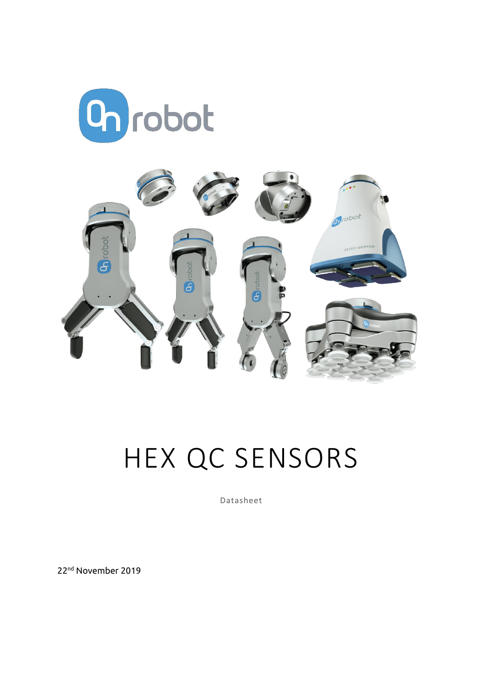



# HEX QC SENSORS

Datasheet

22nd November 2019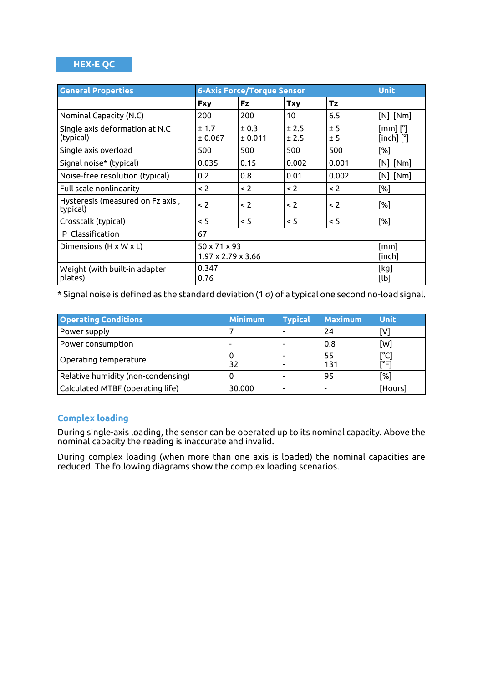#### **HEX-E QC**

| <b>General Properties</b>                    | <b>6-Axis Force/Torque Sensor</b>                          |                  |                |            | <b>Unit</b>                           |
|----------------------------------------------|------------------------------------------------------------|------------------|----------------|------------|---------------------------------------|
|                                              | <b>Fxy</b>                                                 | <b>Fz</b>        | <b>Txy</b>     | <b>Tz</b>  |                                       |
| Nominal Capacity (N.C)                       | 200                                                        | 200              | 10             | 6.5        | $[N]$ $[Nm]$                          |
| Single axis deformation at N.C<br>(typical)  | ± 1.7<br>± 0.067                                           | ± 0.3<br>± 0.011 | ± 2.5<br>± 2.5 | ± 5<br>± 5 | $[mm]$ $[^{\circ}]$<br>$[inch]$ $[°]$ |
| Single axis overload                         | 500                                                        | 500              | 500            | 500        | [%]                                   |
| Signal noise* (typical)                      | 0.035                                                      | 0.15             | 0.002          | 0.001      | $[N]$ $[Nm]$                          |
| Noise-free resolution (typical)              | 0.2                                                        | 0.8              | 0.01           | 0.002      | $[N]$ $[Nm]$                          |
| Full scale nonlinearity                      | $\leq$ 2                                                   | < 2              | < 2            | $\leq$ 2   | [%]                                   |
| Hysteresis (measured on Fz axis,<br>typical) | $\leq$ 2                                                   | $\leq$ 2         | < 2            | $\leq$ 2   | [%]                                   |
| Crosstalk (typical)                          | < 5                                                        | < 5              | < 5            | < 5        | [%]                                   |
| <b>IP</b> Classification                     | 67                                                         |                  |                |            |                                       |
| Dimensions (H x W x L)                       | $50 \times 71 \times 93$<br>$1.97 \times 2.79 \times 3.66$ |                  |                |            | [mm]<br>[inch]                        |
| Weight (with built-in adapter<br>plates)     | 0.347<br>0.76                                              |                  |                |            | [kg]<br>[lb]                          |

\* Signal noise is defined as the standard deviation (1 σ) of a typical one second no-load signal.

| <b>Operating Conditions</b>        | <b>Minimum</b> | <b>Typical</b> | <b>Maximum</b>           | <b>Unit</b> |
|------------------------------------|----------------|----------------|--------------------------|-------------|
| Power supply                       |                |                | 24                       | [V]         |
| Power consumption                  |                |                | 0.8                      | [W]         |
| Operating temperature              | 32             |                | 55<br>131                | [°C<br>rFi  |
| Relative humidity (non-condensing) |                |                | 95                       | $[\%]$      |
| Calculated MTBF (operating life)   | 30.000         |                | $\overline{\phantom{a}}$ | [Hours]     |

## **Complex loading**

During single-axis loading, the sensor can be operated up to its nominal capacity. Above the nominal capacity the reading is inaccurate and invalid.

During complex loading (when more than one axis is loaded) the nominal capacities are reduced. The following diagrams show the complex loading scenarios.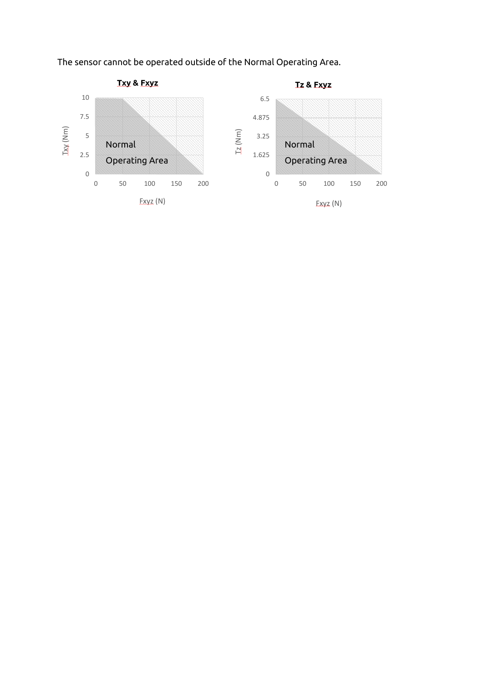The sensor cannot be operated outside of the Normal Operating Area.

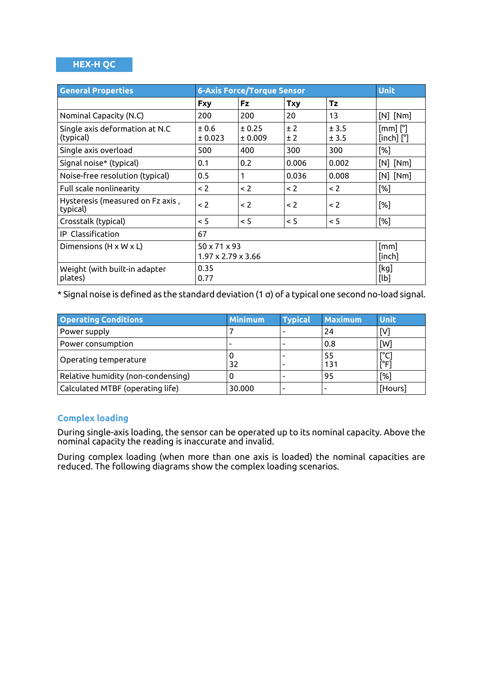#### **HEX-H QC**

| <b>General Properties</b>                    | <b>6-Axis Force/Torque Sensor</b>                          |                   |            |                | <b>Unit</b>                           |
|----------------------------------------------|------------------------------------------------------------|-------------------|------------|----------------|---------------------------------------|
|                                              | <b>Fxy</b>                                                 | <b>Fz</b>         | <b>Txy</b> | <b>Tz</b>      |                                       |
| Nominal Capacity (N.C)                       | 200                                                        | 200               | 20         | 13             | $[N]$ $[Nm]$                          |
| Single axis deformation at N.C<br>(typical)  | ±0.6<br>± 0.023                                            | ± 0.25<br>± 0.009 | ± 2<br>±2  | ± 3.5<br>± 3.5 | $[mm]$ $[^{\circ}]$<br>$[inch]$ $[°]$ |
| Single axis overload                         | 500                                                        | 400               | 300        | 300            | [%]                                   |
| Signal noise* (typical)                      | 0.1                                                        | 0.2               | 0.006      | 0.002          | $[N]$ $[Nm]$                          |
| Noise-free resolution (typical)              | 0.5                                                        | 1                 | 0.036      | 0.008          | $[N]$ $[Nm]$                          |
| Full scale nonlinearity                      | $\leq$ 2                                                   | $\leq$ 2          | < 2        | $\leq$ 2       | [%]                                   |
| Hysteresis (measured on Fz axis,<br>typical) | $\leq$ 2                                                   | $\leq$ 2          | < 2        | $\leq$ 2       | [%]                                   |
| Crosstalk (typical)                          | < 5                                                        | $\leq$ 5          | < 5        | < 5            | [%]                                   |
| IP Classification                            | 67                                                         |                   |            |                |                                       |
| Dimensions $(H \times W \times L)$           | $50 \times 71 \times 93$<br>$1.97 \times 2.79 \times 3.66$ |                   |            |                | [mm]<br>[inch]                        |
| Weight (with built-in adapter<br>plates)     | 0.35<br>0.77                                               |                   |            |                | [kg]<br>[lb]                          |

\* Signal noise is defined as the standard deviation (1 σ) of a typical one second no-load signal.

| <b>Operating Conditions</b>        | Minimum | <b>Typical</b> | <b>Maximum</b>           | <b>Unit</b> |
|------------------------------------|---------|----------------|--------------------------|-------------|
| Power supply                       |         |                | 24                       | [V]         |
| Power consumption                  |         |                | 0.8                      | [W]         |
| Operating temperature              | 32      |                | 55<br>131                | [°C<br>rFi  |
| Relative humidity (non-condensing) |         |                | 95                       | $[\%]$      |
| Calculated MTBF (operating life)   | 30.000  |                | $\overline{\phantom{a}}$ | [Hours]     |

## **Complex loading**

During single-axis loading, the sensor can be operated up to its nominal capacity. Above the nominal capacity the reading is inaccurate and invalid.

During complex loading (when more than one axis is loaded) the nominal capacities are reduced. The following diagrams show the complex loading scenarios.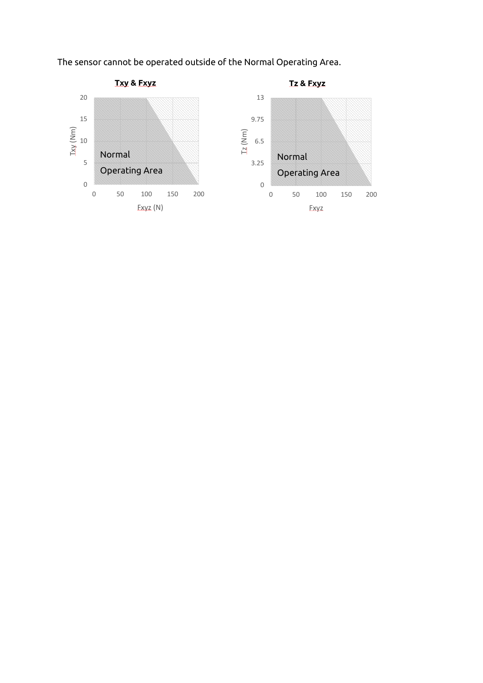The sensor cannot be operated outside of the Normal Operating Area.